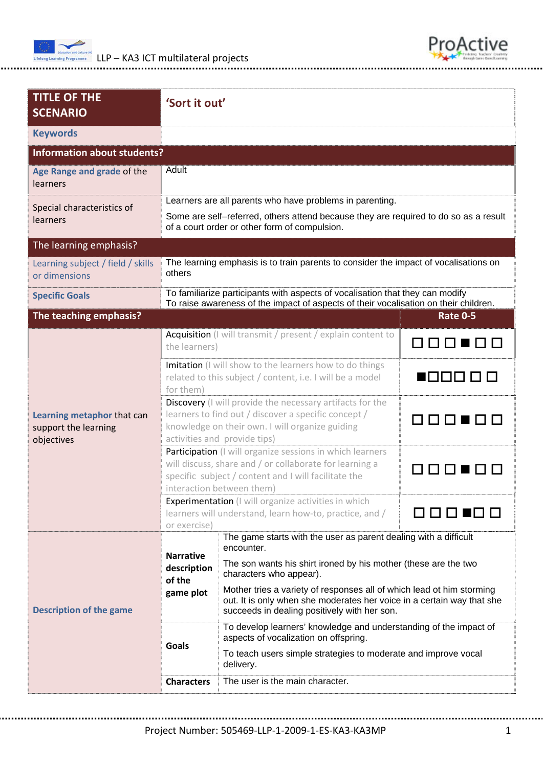



| <b>TITLE OF THE</b><br><b>SCENARIO</b>                           |                                                                                                                                                                                                                                                                                                                                                                                                                                           | 'Sort it out'                                                                                                          |                                 |  |  |  |  |                                                                                                            |  |  |
|------------------------------------------------------------------|-------------------------------------------------------------------------------------------------------------------------------------------------------------------------------------------------------------------------------------------------------------------------------------------------------------------------------------------------------------------------------------------------------------------------------------------|------------------------------------------------------------------------------------------------------------------------|---------------------------------|--|--|--|--|------------------------------------------------------------------------------------------------------------|--|--|
| <b>Keywords</b>                                                  |                                                                                                                                                                                                                                                                                                                                                                                                                                           |                                                                                                                        |                                 |  |  |  |  |                                                                                                            |  |  |
| <b>Information about students?</b>                               |                                                                                                                                                                                                                                                                                                                                                                                                                                           |                                                                                                                        |                                 |  |  |  |  |                                                                                                            |  |  |
| Age Range and grade of the<br>learners                           | Adult                                                                                                                                                                                                                                                                                                                                                                                                                                     |                                                                                                                        |                                 |  |  |  |  |                                                                                                            |  |  |
| Special characteristics of                                       | Learners are all parents who have problems in parenting.                                                                                                                                                                                                                                                                                                                                                                                  |                                                                                                                        |                                 |  |  |  |  |                                                                                                            |  |  |
| learners                                                         | Some are self-referred, others attend because they are required to do so as a result<br>of a court order or other form of compulsion.                                                                                                                                                                                                                                                                                                     |                                                                                                                        |                                 |  |  |  |  |                                                                                                            |  |  |
| The learning emphasis?                                           |                                                                                                                                                                                                                                                                                                                                                                                                                                           |                                                                                                                        |                                 |  |  |  |  |                                                                                                            |  |  |
| Learning subject / field / skills<br>or dimensions               | The learning emphasis is to train parents to consider the impact of vocalisations on<br>others                                                                                                                                                                                                                                                                                                                                            |                                                                                                                        |                                 |  |  |  |  |                                                                                                            |  |  |
| <b>Specific Goals</b>                                            | To familiarize participants with aspects of vocalisation that they can modify<br>To raise awareness of the impact of aspects of their vocalisation on their children.                                                                                                                                                                                                                                                                     |                                                                                                                        |                                 |  |  |  |  |                                                                                                            |  |  |
| The teaching emphasis?                                           |                                                                                                                                                                                                                                                                                                                                                                                                                                           |                                                                                                                        | <b>Rate 0-5</b>                 |  |  |  |  |                                                                                                            |  |  |
| Learning metaphor that can<br>support the learning<br>objectives | the learners)                                                                                                                                                                                                                                                                                                                                                                                                                             | Acquisition (I will transmit / present / explain content to                                                            | 88888                           |  |  |  |  |                                                                                                            |  |  |
|                                                                  | for them)                                                                                                                                                                                                                                                                                                                                                                                                                                 | Imitation (I will show to the learners how to do things<br>related to this subject / content, i.e. I will be a model   | 888888                          |  |  |  |  |                                                                                                            |  |  |
|                                                                  | Discovery (I will provide the necessary artifacts for the<br>learners to find out / discover a specific concept /<br>888888<br>knowledge on their own. I will organize guiding<br>activities and provide tips)                                                                                                                                                                                                                            |                                                                                                                        |                                 |  |  |  |  |                                                                                                            |  |  |
|                                                                  | Participation (I will organize sessions in which learners<br>will discuss, share and / or collaborate for learning a<br>specific subject / content and I will facilitate the<br>interaction between them)                                                                                                                                                                                                                                 |                                                                                                                        |                                 |  |  |  |  |                                                                                                            |  |  |
|                                                                  | or exercise)                                                                                                                                                                                                                                                                                                                                                                                                                              | <b>Experimentation</b> (I will organize activities in which<br>learners will understand, learn how-to, practice, and / |                                 |  |  |  |  |                                                                                                            |  |  |
| <b>Description of the game</b>                                   | The game starts with the user as parent dealing with a difficult<br>encounter.<br><b>Narrative</b><br>The son wants his shirt ironed by his mother (these are the two<br>description<br>characters who appear).<br>of the<br>Mother tries a variety of responses all of which lead ot him storming<br>game plot<br>out. It is only when she moderates her voice in a certain way that she<br>succeeds in dealing positively with her son. |                                                                                                                        |                                 |  |  |  |  |                                                                                                            |  |  |
|                                                                  |                                                                                                                                                                                                                                                                                                                                                                                                                                           |                                                                                                                        |                                 |  |  |  |  | To develop learners' knowledge and understanding of the impact of<br>aspects of vocalization on offspring. |  |  |
|                                                                  | Goals                                                                                                                                                                                                                                                                                                                                                                                                                                     | To teach users simple strategies to moderate and improve vocal<br>delivery.                                            |                                 |  |  |  |  |                                                                                                            |  |  |
|                                                                  |                                                                                                                                                                                                                                                                                                                                                                                                                                           | <b>Characters</b>                                                                                                      | The user is the main character. |  |  |  |  |                                                                                                            |  |  |

Project Number: 505469‐LLP‐1‐2009‐1‐ES‐KA3‐KA3MP 1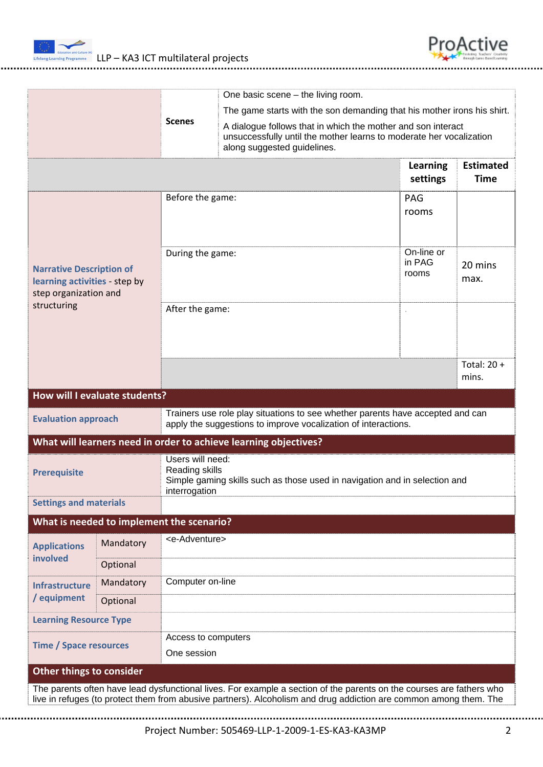



|                                                                                                                                                                                                                                           |                                                                  |                                                                                                                                   |                                                                                                                                                                    |  |  |  |                               | One basic scene $-$ the living room. |                        |                             |                                 |
|-------------------------------------------------------------------------------------------------------------------------------------------------------------------------------------------------------------------------------------------|------------------------------------------------------------------|-----------------------------------------------------------------------------------------------------------------------------------|--------------------------------------------------------------------------------------------------------------------------------------------------------------------|--|--|--|-------------------------------|--------------------------------------|------------------------|-----------------------------|---------------------------------|
|                                                                                                                                                                                                                                           |                                                                  |                                                                                                                                   | The game starts with the son demanding that his mother irons his shirt.                                                                                            |  |  |  |                               |                                      |                        |                             |                                 |
|                                                                                                                                                                                                                                           |                                                                  | <b>Scenes</b>                                                                                                                     | A dialogue follows that in which the mother and son interact<br>unsuccessfully until the mother learns to moderate her vocalization<br>along suggested guidelines. |  |  |  |                               |                                      |                        |                             |                                 |
|                                                                                                                                                                                                                                           |                                                                  |                                                                                                                                   |                                                                                                                                                                    |  |  |  |                               |                                      |                        | <b>Learning</b><br>settings | <b>Estimated</b><br><b>Time</b> |
| <b>Narrative Description of</b><br>learning activities - step by<br>step organization and<br>structuring                                                                                                                                  |                                                                  | Before the game:                                                                                                                  |                                                                                                                                                                    |  |  |  |                               | PAG<br>rooms                         |                        |                             |                                 |
|                                                                                                                                                                                                                                           |                                                                  | During the game:                                                                                                                  |                                                                                                                                                                    |  |  |  | On-line or<br>in PAG<br>rooms | 20 mins<br>max.                      |                        |                             |                                 |
|                                                                                                                                                                                                                                           |                                                                  | After the game:                                                                                                                   |                                                                                                                                                                    |  |  |  |                               |                                      |                        |                             |                                 |
|                                                                                                                                                                                                                                           |                                                                  |                                                                                                                                   |                                                                                                                                                                    |  |  |  |                               |                                      | Total: $20 +$<br>mins. |                             |                                 |
|                                                                                                                                                                                                                                           | <b>How will I evaluate students?</b>                             |                                                                                                                                   |                                                                                                                                                                    |  |  |  |                               |                                      |                        |                             |                                 |
| Trainers use role play situations to see whether parents have accepted and can<br><b>Evaluation approach</b><br>apply the suggestions to improve vocalization of interactions.                                                            |                                                                  |                                                                                                                                   |                                                                                                                                                                    |  |  |  |                               |                                      |                        |                             |                                 |
|                                                                                                                                                                                                                                           | What will learners need in order to achieve learning objectives? |                                                                                                                                   |                                                                                                                                                                    |  |  |  |                               |                                      |                        |                             |                                 |
| <b>Prerequisite</b>                                                                                                                                                                                                                       |                                                                  | Users will need:<br>Reading skills<br>Simple gaming skills such as those used in navigation and in selection and<br>interrogation |                                                                                                                                                                    |  |  |  |                               |                                      |                        |                             |                                 |
|                                                                                                                                                                                                                                           | <b>Settings and materials</b>                                    |                                                                                                                                   |                                                                                                                                                                    |  |  |  |                               |                                      |                        |                             |                                 |
|                                                                                                                                                                                                                                           | What is needed to implement the scenario?                        |                                                                                                                                   |                                                                                                                                                                    |  |  |  |                               |                                      |                        |                             |                                 |
| <b>Applications</b><br>involved                                                                                                                                                                                                           | Mandatory                                                        | <e-adventure></e-adventure>                                                                                                       |                                                                                                                                                                    |  |  |  |                               |                                      |                        |                             |                                 |
|                                                                                                                                                                                                                                           | Optional                                                         |                                                                                                                                   |                                                                                                                                                                    |  |  |  |                               |                                      |                        |                             |                                 |
| <b>Infrastructure</b>                                                                                                                                                                                                                     | Mandatory                                                        | Computer on-line                                                                                                                  |                                                                                                                                                                    |  |  |  |                               |                                      |                        |                             |                                 |
| / equipment                                                                                                                                                                                                                               | Optional                                                         |                                                                                                                                   |                                                                                                                                                                    |  |  |  |                               |                                      |                        |                             |                                 |
| <b>Learning Resource Type</b>                                                                                                                                                                                                             |                                                                  |                                                                                                                                   |                                                                                                                                                                    |  |  |  |                               |                                      |                        |                             |                                 |
| <b>Time / Space resources</b>                                                                                                                                                                                                             |                                                                  | Access to computers<br>One session                                                                                                |                                                                                                                                                                    |  |  |  |                               |                                      |                        |                             |                                 |
| <b>Other things to consider</b>                                                                                                                                                                                                           |                                                                  |                                                                                                                                   |                                                                                                                                                                    |  |  |  |                               |                                      |                        |                             |                                 |
| The parents often have lead dysfunctional lives. For example a section of the parents on the courses are fathers who<br>live in refuges (to protect them from abusive partners). Alcoholism and drug addiction are common among them. The |                                                                  |                                                                                                                                   |                                                                                                                                                                    |  |  |  |                               |                                      |                        |                             |                                 |